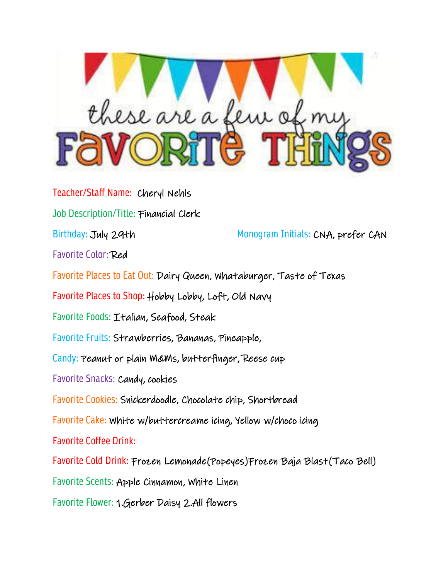

Teacher/Staff Name: Cheryl Nehls Job Description/Title: Financial Clerk Birthday: July 29th Monogram Initials: CNA, prefer CAN Favorite Color: Red Favorite Places to Eat Out: Dairy Queen, Whataburger, Taste of Texas Favorite Places to Shop: Hobby Lobby, Loft, Old Navy Favorite Foods: Italian, Seafood, Steak Favorite Fruits: Strawberries, Bananas, Pineapple, Candy: Peanut or plain M&Ms, butterfinger, Reese cup Favorite Snacks: Candy, cookies Favorite Cookies: Snickerdoodle, Chocolate chip, Shortbread Favorite Cake: White w/buttercreame icing, Yellow w/choco icing Favorite Coffee Drink: Favorite Cold Drink: Frozen Lemonade(Popeyes)Frozen Baja Blast(Taco Bell) Favorite Scents: Apple Cinnamon, White Linen Favorite Flower: 1.Gerber Daisy 2.All flowers